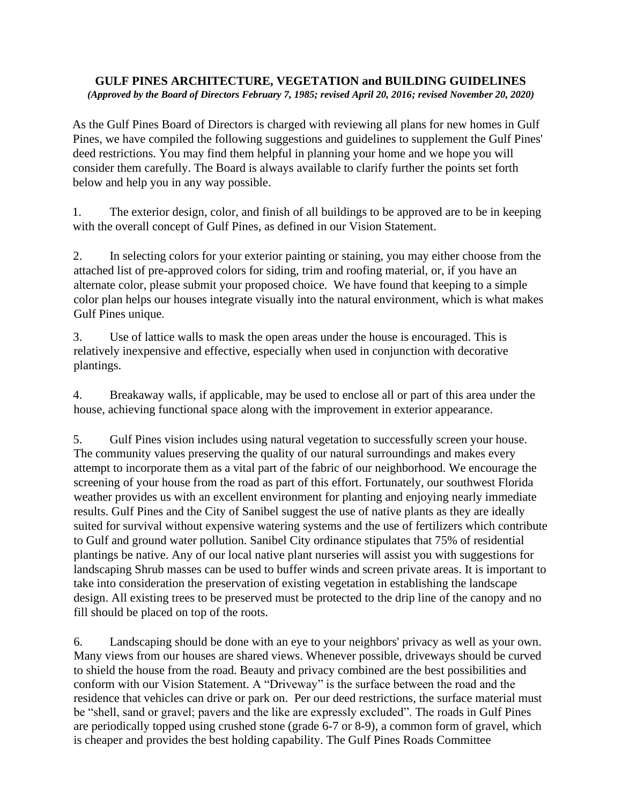## **GULF PINES ARCHITECTURE, VEGETATION and BUILDING GUIDELINES**  *(Approved by the Board of Directors February 7, 1985; revised April 20, 2016; revised November 20, 2020)*

As the Gulf Pines Board of Directors is charged with reviewing all plans for new homes in Gulf Pines, we have compiled the following suggestions and guidelines to supplement the Gulf Pines' deed restrictions. You may find them helpful in planning your home and we hope you will consider them carefully. The Board is always available to clarify further the points set forth below and help you in any way possible.

1. The exterior design, color, and finish of all buildings to be approved are to be in keeping with the overall concept of Gulf Pines, as defined in our Vision Statement.

2. In selecting colors for your exterior painting or staining, you may either choose from the attached list of pre-approved colors for siding, trim and roofing material, or, if you have an alternate color, please submit your proposed choice. We have found that keeping to a simple color plan helps our houses integrate visually into the natural environment, which is what makes Gulf Pines unique.

3. Use of lattice walls to mask the open areas under the house is encouraged. This is relatively inexpensive and effective, especially when used in conjunction with decorative plantings.

4. Breakaway walls, if applicable, may be used to enclose all or part of this area under the house, achieving functional space along with the improvement in exterior appearance.

5. Gulf Pines vision includes using natural vegetation to successfully screen your house. The community values preserving the quality of our natural surroundings and makes every attempt to incorporate them as a vital part of the fabric of our neighborhood. We encourage the screening of your house from the road as part of this effort. Fortunately, our southwest Florida weather provides us with an excellent environment for planting and enjoying nearly immediate results. Gulf Pines and the City of Sanibel suggest the use of native plants as they are ideally suited for survival without expensive watering systems and the use of fertilizers which contribute to Gulf and ground water pollution. Sanibel City ordinance stipulates that 75% of residential plantings be native. Any of our local native plant nurseries will assist you with suggestions for landscaping Shrub masses can be used to buffer winds and screen private areas. It is important to take into consideration the preservation of existing vegetation in establishing the landscape design. All existing trees to be preserved must be protected to the drip line of the canopy and no fill should be placed on top of the roots.

6. Landscaping should be done with an eye to your neighbors' privacy as well as your own. Many views from our houses are shared views. Whenever possible, driveways should be curved to shield the house from the road. Beauty and privacy combined are the best possibilities and conform with our Vision Statement. A "Driveway" is the surface between the road and the residence that vehicles can drive or park on. Per our deed restrictions, the surface material must be "shell, sand or gravel; pavers and the like are expressly excluded". The roads in Gulf Pines are periodically topped using crushed stone (grade 6-7 or 8-9), a common form of gravel, which is cheaper and provides the best holding capability. The Gulf Pines Roads Committee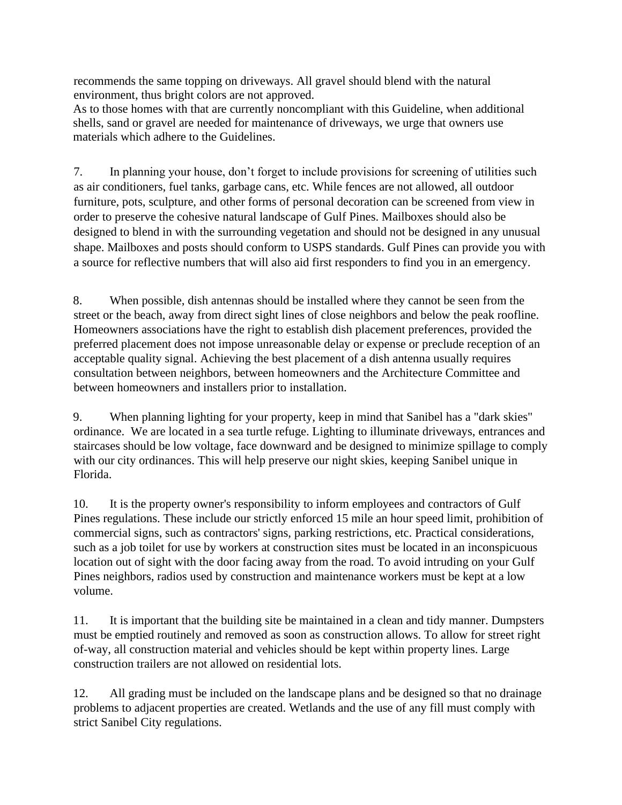recommends the same topping on driveways. All gravel should blend with the natural environment, thus bright colors are not approved.

As to those homes with that are currently noncompliant with this Guideline, when additional shells, sand or gravel are needed for maintenance of driveways, we urge that owners use materials which adhere to the Guidelines.

7. In planning your house, don't forget to include provisions for screening of utilities such as air conditioners, fuel tanks, garbage cans, etc. While fences are not allowed, all outdoor furniture, pots, sculpture, and other forms of personal decoration can be screened from view in order to preserve the cohesive natural landscape of Gulf Pines. Mailboxes should also be designed to blend in with the surrounding vegetation and should not be designed in any unusual shape. Mailboxes and posts should conform to USPS standards. Gulf Pines can provide you with a source for reflective numbers that will also aid first responders to find you in an emergency.

8. When possible, dish antennas should be installed where they cannot be seen from the street or the beach, away from direct sight lines of close neighbors and below the peak roofline. Homeowners associations have the right to establish dish placement preferences, provided the preferred placement does not impose unreasonable delay or expense or preclude reception of an acceptable quality signal. Achieving the best placement of a dish antenna usually requires consultation between neighbors, between homeowners and the Architecture Committee and between homeowners and installers prior to installation.

9. When planning lighting for your property, keep in mind that Sanibel has a "dark skies" ordinance. We are located in a sea turtle refuge. Lighting to illuminate driveways, entrances and staircases should be low voltage, face downward and be designed to minimize spillage to comply with our city ordinances. This will help preserve our night skies, keeping Sanibel unique in Florida.

10. It is the property owner's responsibility to inform employees and contractors of Gulf Pines regulations. These include our strictly enforced 15 mile an hour speed limit, prohibition of commercial signs, such as contractors' signs, parking restrictions, etc. Practical considerations, such as a job toilet for use by workers at construction sites must be located in an inconspicuous location out of sight with the door facing away from the road. To avoid intruding on your Gulf Pines neighbors, radios used by construction and maintenance workers must be kept at a low volume.

11. It is important that the building site be maintained in a clean and tidy manner. Dumpsters must be emptied routinely and removed as soon as construction allows. To allow for street right of-way, all construction material and vehicles should be kept within property lines. Large construction trailers are not allowed on residential lots.

12. All grading must be included on the landscape plans and be designed so that no drainage problems to adjacent properties are created. Wetlands and the use of any fill must comply with strict Sanibel City regulations.